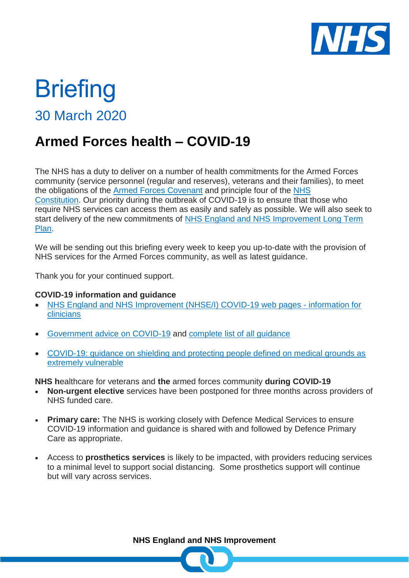

# **Briefing**

30 March 2020

## **Armed Forces health – COVID-19**

The NHS has a duty to deliver on a number of health commitments for the Armed Forces community (service personnel (regular and reserves), veterans and their families), to meet the obligations of the [Armed Forces Covenant](https://www.gov.uk/government/publications/an-explanation-of-the-armed-forces-covenant) and principle four of the [NHS](https://www.gov.uk/government/publications/the-nhs-constitution-for-england)  [Constitution.](https://www.gov.uk/government/publications/the-nhs-constitution-for-england) Our priority during the outbreak of COVID-19 is to ensure that those who require NHS services can access them as easily and safely as possible. We will also seek to start delivery of the new commitments of NHS England and NHS Improvement Long Term [Plan.](https://www.longtermplan.nhs.uk/)

We will be sending out this briefing every week to keep you up-to-date with the provision of NHS services for the Armed Forces community, as well as latest guidance.

Thank you for your continued support.

### **COVID-19 information and guidance**

- [NHS England and NHS Improvement \(NHSE/I\) COVID-19 web pages -](https://www.england.nhs.uk/coronavirus/) information for [clinicians](https://www.england.nhs.uk/coronavirus/)
- [Government advice on COVID-19](https://www.gov.uk/coronavirus) and [complete list of all guidance](https://www.gov.uk/government/collections/coronavirus-covid-19-list-of-guidance)
- [COVID-19: guidance on shielding and protecting people defined on medical grounds as](https://www.gov.uk/government/publications/guidance-on-shielding-and-protecting-extremely-vulnerable-persons-from-covid-19)  [extremely vulnerable](https://www.gov.uk/government/publications/guidance-on-shielding-and-protecting-extremely-vulnerable-persons-from-covid-19)

**NHS h**ealthcare for veterans and **the** armed forces community **during COVID-19**

- **Non-urgent elective** services have been postponed for three months across providers of NHS funded care.
- **Primary care:** The NHS is working closely with Defence Medical Services to ensure COVID-19 information and guidance is shared with and followed by Defence Primary Care as appropriate.
- Access to **prosthetics services** is likely to be impacted, with providers reducing services to a minimal level to support social distancing. Some prosthetics support will continue but will vary across services.

**NHS England and NHS Improvement**